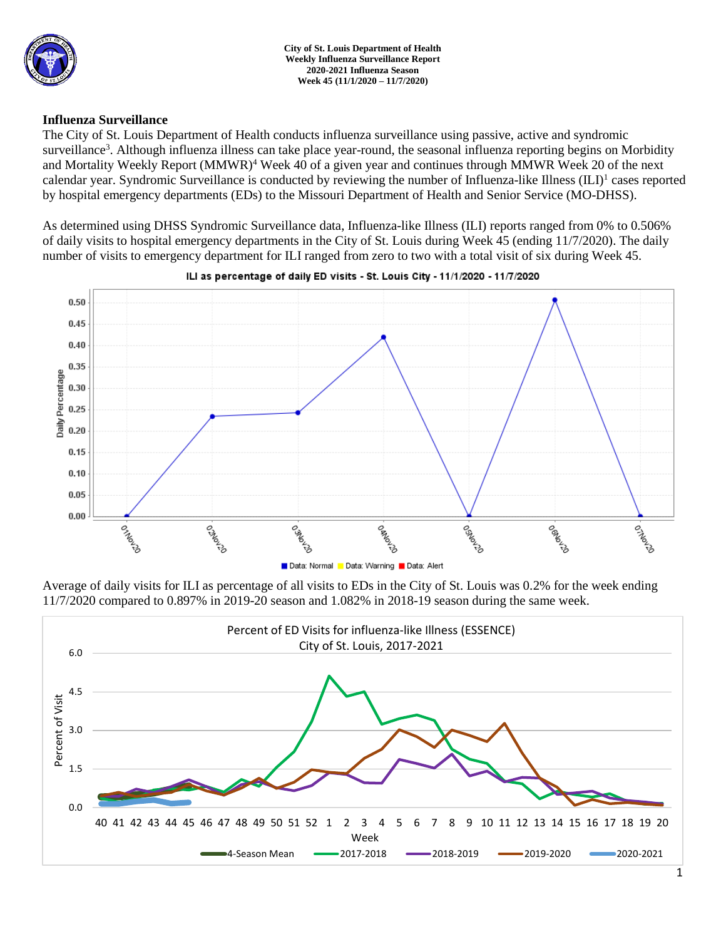

## **Influenza Surveillance**

The City of St. Louis Department of Health conducts influenza surveillance using passive, active and syndromic surveillance<sup>3</sup>. Although influenza illness can take place year-round, the seasonal influenza reporting begins on Morbidity and Mortality Weekly Report (MMWR)<sup>4</sup> Week 40 of a given year and continues through MMWR Week 20 of the next calendar year. Syndromic Surveillance is conducted by reviewing the number of Influenza-like Illness (ILI)<sup>1</sup> cases reported by hospital emergency departments (EDs) to the Missouri Department of Health and Senior Service (MO-DHSS).

As determined using DHSS Syndromic Surveillance data, Influenza-like Illness (ILI) reports ranged from 0% to 0.506% of daily visits to hospital emergency departments in the City of St. Louis during Week 45 (ending 11/7/2020). The daily number of visits to emergency department for ILI ranged from zero to two with a total visit of six during Week 45.



#### ILI as percentage of daily ED visits - St. Louis City - 11/1/2020 - 11/7/2020

Average of daily visits for ILI as percentage of all visits to EDs in the City of St. Louis was 0.2% for the week ending 11/7/2020 compared to 0.897% in 2019-20 season and 1.082% in 2018-19 season during the same week.

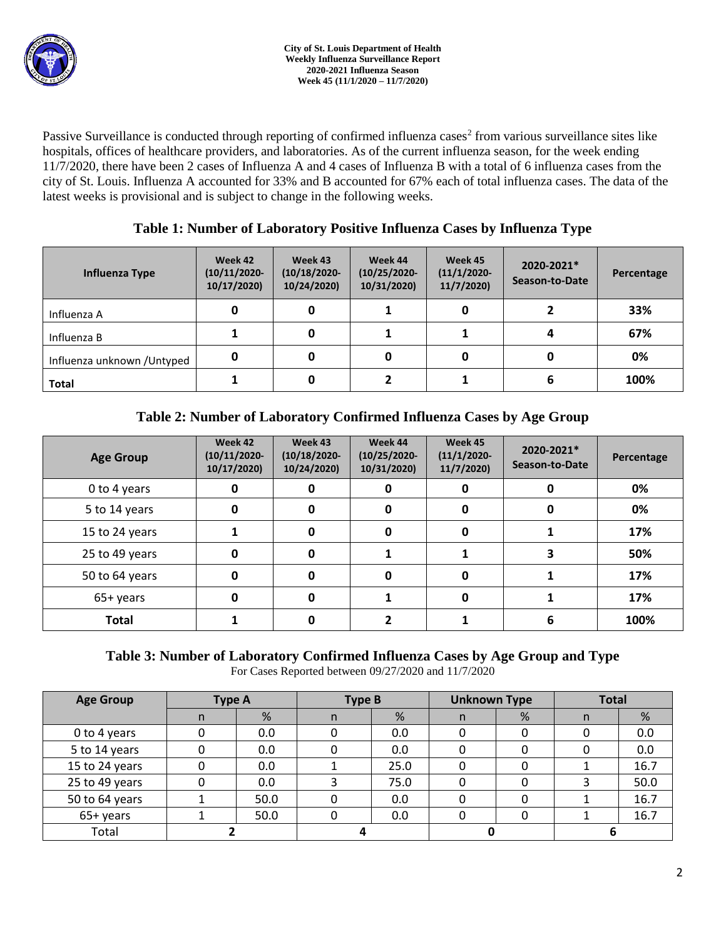Passive Surveillance is conducted through reporting of confirmed influenza cases<sup>2</sup> from various surveillance sites like hospitals, offices of healthcare providers, and laboratories. As of the current influenza season, for the week ending 11/7/2020, there have been 2 cases of Influenza A and 4 cases of Influenza B with a total of 6 influenza cases from the city of St. Louis. Influenza A accounted for 33% and B accounted for 67% each of total influenza cases. The data of the latest weeks is provisional and is subject to change in the following weeks.

| Influenza Type              | Week 42<br>$(10/11/2020 -$<br>10/17/2020) | Week 43<br>$(10/18/2020 -$<br>10/24/2020) | Week 44<br>$(10/25/2020 -$<br>10/31/2020) | Week 45<br>$(11/1/2020 -$<br>11/7/2020 | 2020-2021*<br>Season-to-Date | Percentage |
|-----------------------------|-------------------------------------------|-------------------------------------------|-------------------------------------------|----------------------------------------|------------------------------|------------|
| Influenza A                 | 0                                         |                                           |                                           | 0                                      |                              | 33%        |
| Influenza B                 |                                           |                                           |                                           |                                        |                              | 67%        |
| Influenza unknown / Untyped | 0                                         |                                           | 0                                         | 0                                      |                              | 0%         |
| <b>Total</b>                |                                           |                                           |                                           |                                        |                              | 100%       |

# **Table 2: Number of Laboratory Confirmed Influenza Cases by Age Group**

| <b>Age Group</b> | Week 42<br>$(10/11/2020 -$<br>10/17/2020) | Week 43<br>$(10/18/2020 -$<br>10/24/2020) | Week 44<br>$(10/25/2020 -$<br>10/31/2020) | Week 45<br>$(11/1/2020 -$<br>11/7/2020 | 2020-2021*<br>Season-to-Date | Percentage |
|------------------|-------------------------------------------|-------------------------------------------|-------------------------------------------|----------------------------------------|------------------------------|------------|
| 0 to 4 years     | 0                                         |                                           |                                           | O                                      |                              | 0%         |
| 5 to 14 years    | 0                                         | 0                                         | 0                                         | 0                                      |                              | 0%         |
| 15 to 24 years   |                                           | O                                         | 0                                         | 0                                      |                              | 17%        |
| 25 to 49 years   | 0                                         | 0                                         |                                           |                                        |                              | 50%        |
| 50 to 64 years   | 0                                         | O                                         | 0                                         | 0                                      |                              | 17%        |
| 65+ years        | 0                                         | O                                         |                                           | O                                      |                              | 17%        |
| <b>Total</b>     |                                           |                                           |                                           |                                        | 6                            | 100%       |

# **Table 3: Number of Laboratory Confirmed Influenza Cases by Age Group and Type**

For Cases Reported between 09/27/2020 and 11/7/2020

| <b>Age Group</b> | <b>Type A</b> |      | <b>Type B</b> |      | <b>Unknown Type</b> |   | <b>Total</b> |      |
|------------------|---------------|------|---------------|------|---------------------|---|--------------|------|
|                  | n             | %    | n             | %    | n.                  | % | n            | %    |
| 0 to 4 years     |               | 0.0  |               | 0.0  |                     |   |              | 0.0  |
| 5 to 14 years    |               | 0.0  |               | 0.0  |                     |   |              | 0.0  |
| 15 to 24 years   |               | 0.0  |               | 25.0 |                     |   |              | 16.7 |
| 25 to 49 years   | 0             | 0.0  | 3             | 75.0 |                     |   |              | 50.0 |
| 50 to 64 years   |               | 50.0 | 0             | 0.0  |                     |   |              | 16.7 |
| 65+ years        |               | 50.0 | 0             | 0.0  |                     |   |              | 16.7 |
| Total            |               |      |               |      |                     |   |              |      |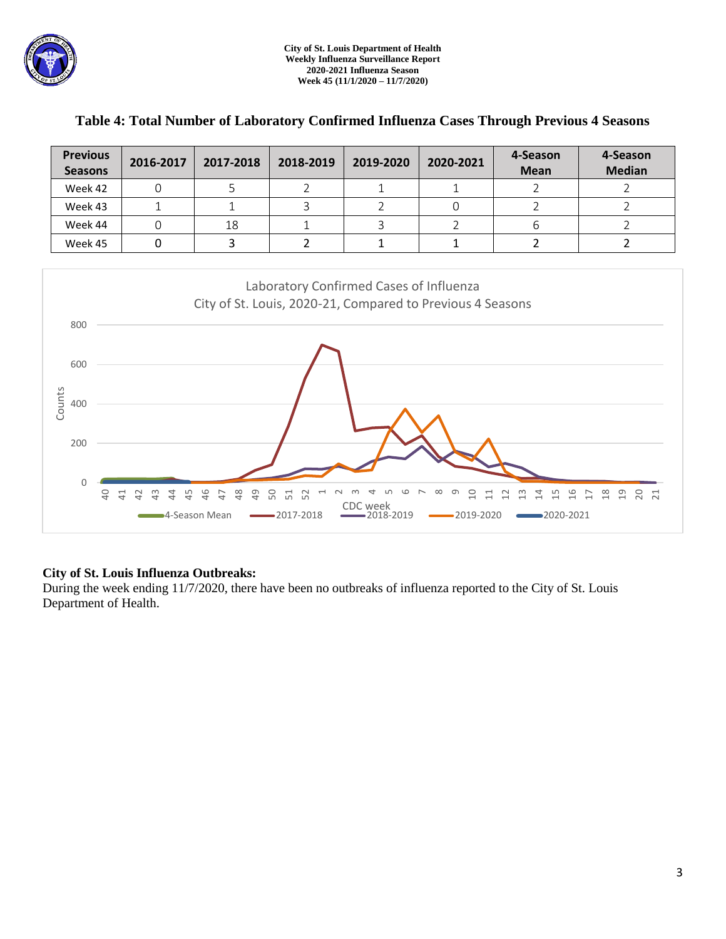| <b>Previous</b><br><b>Seasons</b> | 2016-2017 | 2017-2018 | 2018-2019 | 2019-2020 | 2020-2021 | 4-Season<br><b>Mean</b> | 4-Season<br><b>Median</b> |
|-----------------------------------|-----------|-----------|-----------|-----------|-----------|-------------------------|---------------------------|
| Week 42                           |           |           |           |           |           |                         |                           |
| Week 43                           |           |           |           |           |           |                         |                           |
| Week 44                           |           | 18        |           |           |           |                         |                           |
| Week 45                           |           |           |           |           |           |                         |                           |

## **Table 4: Total Number of Laboratory Confirmed Influenza Cases Through Previous 4 Seasons**



### **City of St. Louis Influenza Outbreaks:**

During the week ending 11/7/2020, there have been no outbreaks of influenza reported to the City of St. Louis Department of Health.